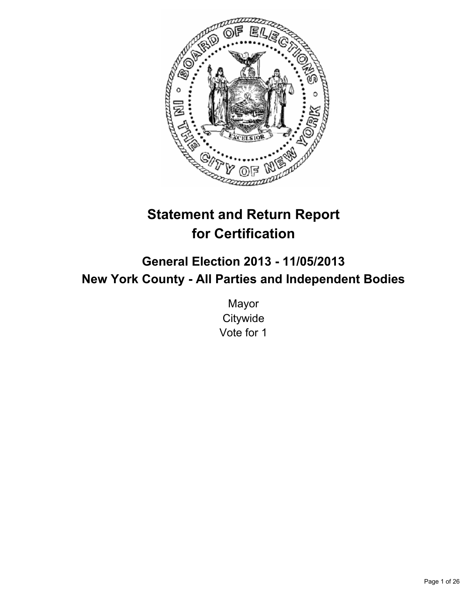

# **Statement and Return Report for Certification**

# **General Election 2013 - 11/05/2013 New York County - All Parties and Independent Bodies**

Mayor **Citywide** Vote for 1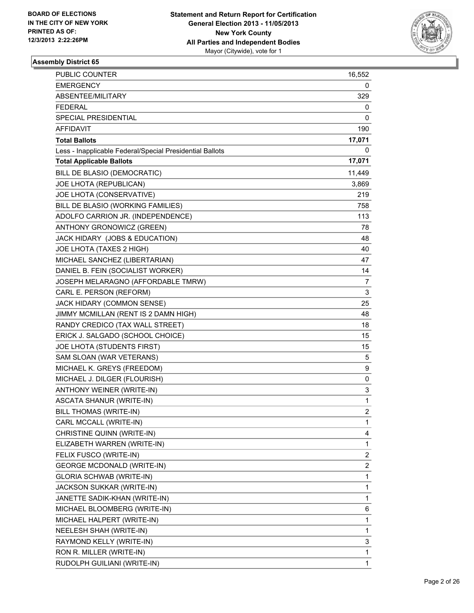

| PUBLIC COUNTER                                           | 16,552                  |
|----------------------------------------------------------|-------------------------|
| <b>EMERGENCY</b>                                         | 0                       |
| ABSENTEE/MILITARY                                        | 329                     |
| <b>FEDERAL</b>                                           | 0                       |
| SPECIAL PRESIDENTIAL                                     | 0                       |
| <b>AFFIDAVIT</b>                                         | 190                     |
| <b>Total Ballots</b>                                     | 17,071                  |
| Less - Inapplicable Federal/Special Presidential Ballots | 0                       |
| <b>Total Applicable Ballots</b>                          | 17,071                  |
| BILL DE BLASIO (DEMOCRATIC)                              | 11,449                  |
| JOE LHOTA (REPUBLICAN)                                   | 3,869                   |
| JOE LHOTA (CONSERVATIVE)                                 | 219                     |
| BILL DE BLASIO (WORKING FAMILIES)                        | 758                     |
| ADOLFO CARRION JR. (INDEPENDENCE)                        | 113                     |
| ANTHONY GRONOWICZ (GREEN)                                | 78                      |
| JACK HIDARY (JOBS & EDUCATION)                           | 48                      |
| JOE LHOTA (TAXES 2 HIGH)                                 | 40                      |
| MICHAEL SANCHEZ (LIBERTARIAN)                            | 47                      |
| DANIEL B. FEIN (SOCIALIST WORKER)                        | 14                      |
| JOSEPH MELARAGNO (AFFORDABLE TMRW)                       | 7                       |
| CARL E. PERSON (REFORM)                                  | 3                       |
| JACK HIDARY (COMMON SENSE)                               | 25                      |
| JIMMY MCMILLAN (RENT IS 2 DAMN HIGH)                     | 48                      |
| RANDY CREDICO (TAX WALL STREET)                          | 18                      |
| ERICK J. SALGADO (SCHOOL CHOICE)                         | 15                      |
| JOE LHOTA (STUDENTS FIRST)                               | 15                      |
| SAM SLOAN (WAR VETERANS)                                 | 5                       |
| MICHAEL K. GREYS (FREEDOM)                               | 9                       |
| MICHAEL J. DILGER (FLOURISH)                             | 0                       |
| ANTHONY WEINER (WRITE-IN)                                | 3                       |
| <b>ASCATA SHANUR (WRITE-IN)</b>                          | 1                       |
| BILL THOMAS (WRITE-IN)                                   | $\overline{2}$          |
| CARL MCCALL (WRITE-IN)                                   | 1                       |
| CHRISTINE QUINN (WRITE-IN)                               | 4                       |
| ELIZABETH WARREN (WRITE-IN)                              | 1                       |
| FELIX FUSCO (WRITE-IN)                                   | 2                       |
| GEORGE MCDONALD (WRITE-IN)                               | $\overline{\mathbf{c}}$ |
| <b>GLORIA SCHWAB (WRITE-IN)</b>                          | 1                       |
| JACKSON SUKKAR (WRITE-IN)                                | 1                       |
| JANETTE SADIK-KHAN (WRITE-IN)                            | 1                       |
| MICHAEL BLOOMBERG (WRITE-IN)                             | 6                       |
| MICHAEL HALPERT (WRITE-IN)                               | 1                       |
| NEELESH SHAH (WRITE-IN)                                  | 1                       |
| RAYMOND KELLY (WRITE-IN)                                 | 3                       |
| RON R. MILLER (WRITE-IN)                                 | 1                       |
| RUDOLPH GUILIANI (WRITE-IN)                              | $\mathbf{1}$            |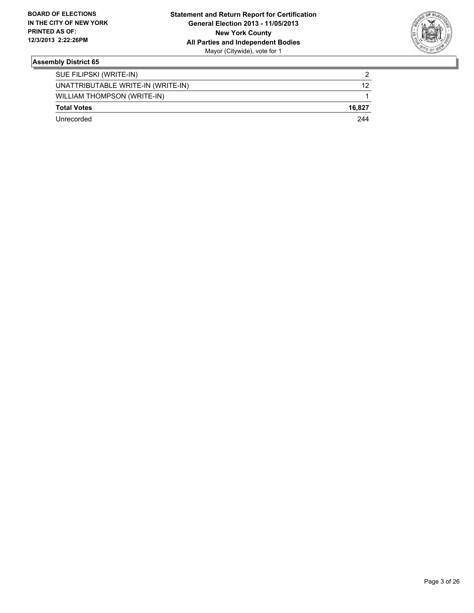

| <b>Total Votes</b>                 | 16.827 |
|------------------------------------|--------|
| <b>WILLIAM THOMPSON (WRITE-IN)</b> |        |
| UNATTRIBUTABLE WRITE-IN (WRITE-IN) | 12     |
| SUE FILIPSKI (WRITE-IN)            |        |
|                                    |        |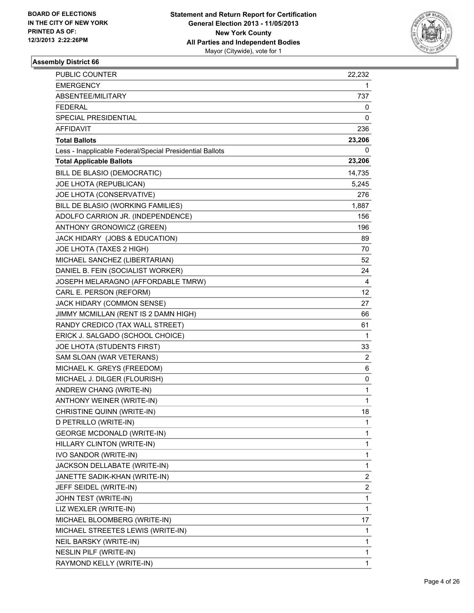

| PUBLIC COUNTER                                           | 22,232         |
|----------------------------------------------------------|----------------|
| <b>EMERGENCY</b>                                         | 1              |
| ABSENTEE/MILITARY                                        | 737.           |
| FEDERAL                                                  | 0              |
| SPECIAL PRESIDENTIAL                                     | 0              |
| AFFIDAVIT                                                | 236            |
| <b>Total Ballots</b>                                     | 23,206         |
| Less - Inapplicable Federal/Special Presidential Ballots | 0              |
| <b>Total Applicable Ballots</b>                          | 23,206         |
| BILL DE BLASIO (DEMOCRATIC)                              | 14,735         |
| JOE LHOTA (REPUBLICAN)                                   | 5,245          |
| JOE LHOTA (CONSERVATIVE)                                 | 276            |
| BILL DE BLASIO (WORKING FAMILIES)                        | 1,887          |
| ADOLFO CARRION JR. (INDEPENDENCE)                        | 156            |
| ANTHONY GRONOWICZ (GREEN)                                | 196            |
| JACK HIDARY (JOBS & EDUCATION)                           | 89             |
| JOE LHOTA (TAXES 2 HIGH)                                 | 70             |
| MICHAEL SANCHEZ (LIBERTARIAN)                            | 52             |
| DANIEL B. FEIN (SOCIALIST WORKER)                        | 24             |
| JOSEPH MELARAGNO (AFFORDABLE TMRW)                       | 4              |
| CARL E. PERSON (REFORM)                                  | 12             |
| JACK HIDARY (COMMON SENSE)                               | 27             |
| JIMMY MCMILLAN (RENT IS 2 DAMN HIGH)                     | 66             |
| RANDY CREDICO (TAX WALL STREET)                          | 61             |
| ERICK J. SALGADO (SCHOOL CHOICE)                         | 1              |
| JOE LHOTA (STUDENTS FIRST)                               | 33             |
| SAM SLOAN (WAR VETERANS)                                 | $\overline{2}$ |
| MICHAEL K. GREYS (FREEDOM)                               | 6              |
| MICHAEL J. DILGER (FLOURISH)                             | 0              |
| ANDREW CHANG (WRITE-IN)                                  | 1              |
| ANTHONY WEINER (WRITE-IN)                                | 1              |
| CHRISTINE QUINN (WRITE-IN)                               | 18             |
| D PETRILLO (WRITE-IN)                                    | 1              |
| <b>GEORGE MCDONALD (WRITE-IN)</b>                        | 1              |
| HILLARY CLINTON (WRITE-IN)                               | 1              |
| IVO SANDOR (WRITE-IN)                                    | 1              |
| JACKSON DELLABATE (WRITE-IN)                             | 1              |
| JANETTE SADIK-KHAN (WRITE-IN)                            | 2              |
| JEFF SEIDEL (WRITE-IN)                                   | 2              |
| JOHN TEST (WRITE-IN)                                     | 1              |
| LIZ WEXLER (WRITE-IN)                                    | 1              |
| MICHAEL BLOOMBERG (WRITE-IN)                             | 17             |
| MICHAEL STREETES LEWIS (WRITE-IN)                        | 1              |
| NEIL BARSKY (WRITE-IN)                                   | 1              |
| NESLIN PILF (WRITE-IN)                                   | 1              |
| RAYMOND KELLY (WRITE-IN)                                 | 1              |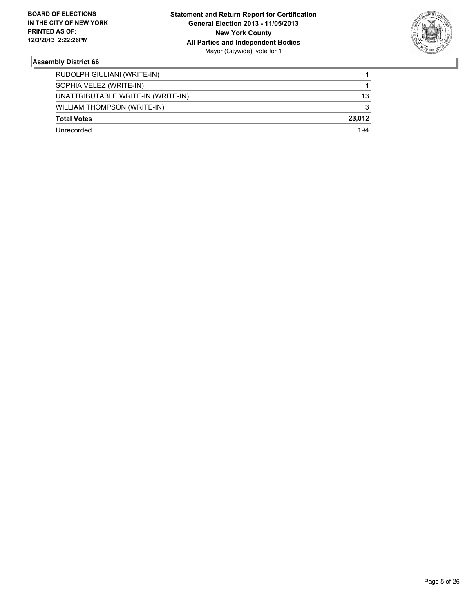

| RUDOLPH GIULIANI (WRITE-IN)        |        |
|------------------------------------|--------|
| SOPHIA VELEZ (WRITE-IN)            |        |
| UNATTRIBUTABLE WRITE-IN (WRITE-IN) | 13     |
| WILLIAM THOMPSON (WRITE-IN)        | 3      |
| <b>Total Votes</b>                 | 23.012 |
| Unrecorded                         | 194    |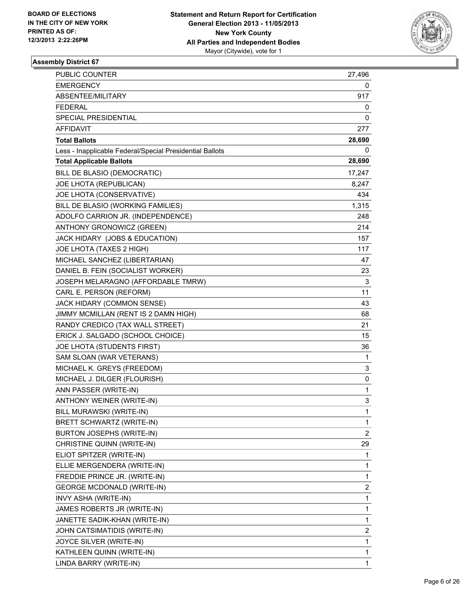

| PUBLIC COUNTER                                           | 27,496 |
|----------------------------------------------------------|--------|
| <b>EMERGENCY</b>                                         | 0      |
| ABSENTEE/MILITARY                                        | 917    |
| <b>FEDERAL</b>                                           | 0      |
| SPECIAL PRESIDENTIAL                                     | 0      |
| <b>AFFIDAVIT</b>                                         | 277    |
| <b>Total Ballots</b>                                     | 28,690 |
| Less - Inapplicable Federal/Special Presidential Ballots | 0      |
| <b>Total Applicable Ballots</b>                          | 28,690 |
| BILL DE BLASIO (DEMOCRATIC)                              | 17,247 |
| JOE LHOTA (REPUBLICAN)                                   | 8,247  |
| JOE LHOTA (CONSERVATIVE)                                 | 434    |
| BILL DE BLASIO (WORKING FAMILIES)                        | 1,315  |
| ADOLFO CARRION JR. (INDEPENDENCE)                        | 248    |
| ANTHONY GRONOWICZ (GREEN)                                | 214    |
| JACK HIDARY (JOBS & EDUCATION)                           | 157    |
| JOE LHOTA (TAXES 2 HIGH)                                 | 117    |
| MICHAEL SANCHEZ (LIBERTARIAN)                            | 47     |
| DANIEL B. FEIN (SOCIALIST WORKER)                        | 23     |
| JOSEPH MELARAGNO (AFFORDABLE TMRW)                       | 3      |
| CARL E. PERSON (REFORM)                                  | 11     |
| JACK HIDARY (COMMON SENSE)                               | 43     |
| JIMMY MCMILLAN (RENT IS 2 DAMN HIGH)                     | 68     |
| RANDY CREDICO (TAX WALL STREET)                          | 21     |
| ERICK J. SALGADO (SCHOOL CHOICE)                         | 15     |
| JOE LHOTA (STUDENTS FIRST)                               | 36     |
| SAM SLOAN (WAR VETERANS)                                 | 1      |
| MICHAEL K. GREYS (FREEDOM)                               | 3      |
| MICHAEL J. DILGER (FLOURISH)                             | 0      |
| ANN PASSER (WRITE-IN)                                    | 1      |
| ANTHONY WEINER (WRITE-IN)                                | 3      |
| BILL MURAWSKI (WRITE-IN)                                 | 1      |
| BRETT SCHWARTZ (WRITE-IN)                                | 1      |
| BURTON JOSEPHS (WRITE-IN)                                | 2      |
| CHRISTINE QUINN (WRITE-IN)                               | 29     |
| ELIOT SPITZER (WRITE-IN)                                 | 1      |
| ELLIE MERGENDERA (WRITE-IN)                              | 1      |
| FREDDIE PRINCE JR. (WRITE-IN)                            | 1      |
| <b>GEORGE MCDONALD (WRITE-IN)</b>                        | 2      |
| INVY ASHA (WRITE-IN)                                     | 1      |
| JAMES ROBERTS JR (WRITE-IN)                              | 1      |
| JANETTE SADIK-KHAN (WRITE-IN)                            | 1      |
| JOHN CATSIMATIDIS (WRITE-IN)                             | 2      |
| JOYCE SILVER (WRITE-IN)                                  | 1      |
| KATHLEEN QUINN (WRITE-IN)                                | 1      |
| LINDA BARRY (WRITE-IN)                                   | 1      |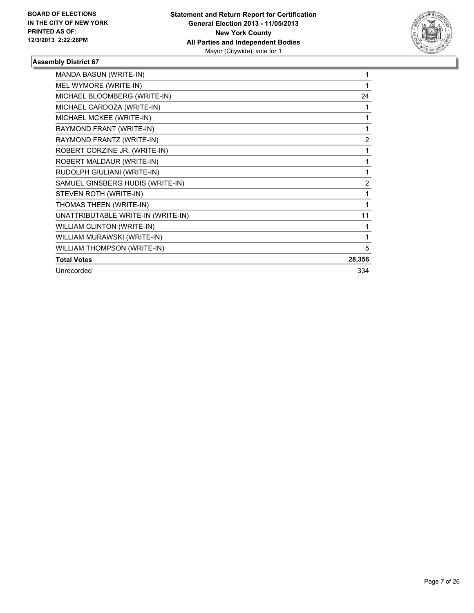

| <b>MANDA BASUN (WRITE-IN)</b>      |                |
|------------------------------------|----------------|
| MEL WYMORE (WRITE-IN)              |                |
| MICHAEL BLOOMBERG (WRITE-IN)       | 24             |
| MICHAEL CARDOZA (WRITE-IN)         |                |
| MICHAEL MCKEE (WRITE-IN)           | 1              |
| RAYMOND FRANT (WRITE-IN)           | 1              |
| RAYMOND FRANTZ (WRITE-IN)          | $\overline{2}$ |
| ROBERT CORZINE JR. (WRITE-IN)      | 1              |
| ROBERT MALDAUR (WRITE-IN)          | 1              |
| RUDOLPH GIULIANI (WRITE-IN)        | 1              |
| SAMUEL GINSBERG HUDIS (WRITE-IN)   | $\overline{2}$ |
| STEVEN ROTH (WRITE-IN)             | 1              |
| THOMAS THEEN (WRITE-IN)            |                |
| UNATTRIBUTABLE WRITE-IN (WRITE-IN) | 11             |
| <b>WILLIAM CLINTON (WRITE-IN)</b>  |                |
| WILLIAM MURAWSKI (WRITE-IN)        |                |
| WILLIAM THOMPSON (WRITE-IN)        | 5              |
| <b>Total Votes</b>                 | 28,356         |
| Unrecorded                         | 334            |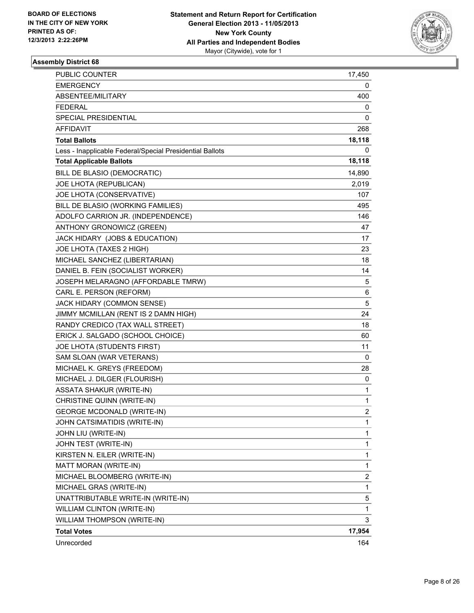

| <b>PUBLIC COUNTER</b>                                    | 17,450         |
|----------------------------------------------------------|----------------|
| <b>EMERGENCY</b>                                         | 0              |
| ABSENTEE/MILITARY                                        | 400            |
| <b>FEDERAL</b>                                           | 0              |
| SPECIAL PRESIDENTIAL                                     | 0              |
| <b>AFFIDAVIT</b>                                         | 268            |
| <b>Total Ballots</b>                                     | 18,118         |
| Less - Inapplicable Federal/Special Presidential Ballots | 0              |
| <b>Total Applicable Ballots</b>                          | 18,118         |
| BILL DE BLASIO (DEMOCRATIC)                              | 14,890         |
| JOE LHOTA (REPUBLICAN)                                   | 2,019          |
| JOE LHOTA (CONSERVATIVE)                                 | 107            |
| BILL DE BLASIO (WORKING FAMILIES)                        | 495            |
| ADOLFO CARRION JR. (INDEPENDENCE)                        | 146            |
| ANTHONY GRONOWICZ (GREEN)                                | 47             |
| JACK HIDARY (JOBS & EDUCATION)                           | 17             |
| JOE LHOTA (TAXES 2 HIGH)                                 | 23             |
| MICHAEL SANCHEZ (LIBERTARIAN)                            | 18             |
| DANIEL B. FEIN (SOCIALIST WORKER)                        | 14             |
| JOSEPH MELARAGNO (AFFORDABLE TMRW)                       | 5              |
| CARL E. PERSON (REFORM)                                  | 6              |
| JACK HIDARY (COMMON SENSE)                               | 5              |
| JIMMY MCMILLAN (RENT IS 2 DAMN HIGH)                     | 24             |
| RANDY CREDICO (TAX WALL STREET)                          | 18             |
| ERICK J. SALGADO (SCHOOL CHOICE)                         | 60             |
| JOE LHOTA (STUDENTS FIRST)                               | 11             |
| SAM SLOAN (WAR VETERANS)                                 | 0              |
| MICHAEL K. GREYS (FREEDOM)                               | 28             |
| MICHAEL J. DILGER (FLOURISH)                             | 0              |
| <b>ASSATA SHAKUR (WRITE-IN)</b>                          | $\mathbf{1}$   |
| CHRISTINE QUINN (WRITE-IN)                               | 1              |
| <b>GEORGE MCDONALD (WRITE-IN)</b>                        | $\overline{2}$ |
| JOHN CATSIMATIDIS (WRITE-IN)                             | 1              |
| JOHN LIU (WRITE-IN)                                      | 1              |
| JOHN TEST (WRITE-IN)                                     | $\mathbf{1}$   |
| KIRSTEN N. EILER (WRITE-IN)                              | $\mathbf{1}$   |
| MATT MORAN (WRITE-IN)                                    | 1              |
| MICHAEL BLOOMBERG (WRITE-IN)                             | 2              |
| MICHAEL GRAS (WRITE-IN)                                  | 1              |
| UNATTRIBUTABLE WRITE-IN (WRITE-IN)                       | 5              |
| WILLIAM CLINTON (WRITE-IN)                               | 1              |
| WILLIAM THOMPSON (WRITE-IN)                              | 3              |
| <b>Total Votes</b>                                       | 17,954         |
| Unrecorded                                               | 164            |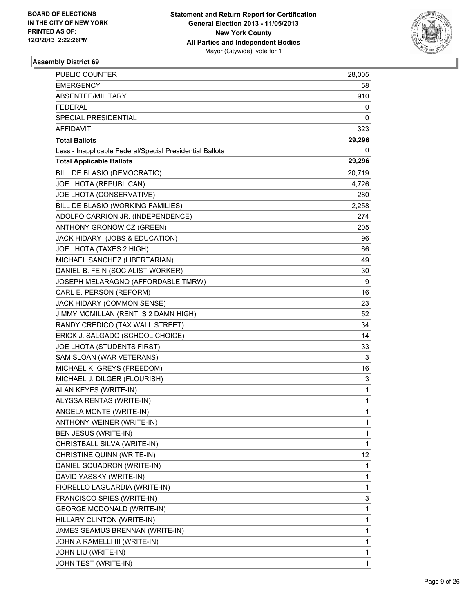

| <b>PUBLIC COUNTER</b>                                    | 28,005 |
|----------------------------------------------------------|--------|
| <b>EMERGENCY</b>                                         | 58     |
| ABSENTEE/MILITARY                                        | 910    |
| FEDERAL                                                  | 0      |
| SPECIAL PRESIDENTIAL                                     | 0      |
| AFFIDAVIT                                                | 323    |
| <b>Total Ballots</b>                                     | 29,296 |
| Less - Inapplicable Federal/Special Presidential Ballots | 0      |
| <b>Total Applicable Ballots</b>                          | 29,296 |
| BILL DE BLASIO (DEMOCRATIC)                              | 20,719 |
| JOE LHOTA (REPUBLICAN)                                   | 4,726  |
| JOE LHOTA (CONSERVATIVE)                                 | 280    |
| BILL DE BLASIO (WORKING FAMILIES)                        | 2,258  |
| ADOLFO CARRION JR. (INDEPENDENCE)                        | 274    |
| ANTHONY GRONOWICZ (GREEN)                                | 205    |
| JACK HIDARY (JOBS & EDUCATION)                           | 96     |
| JOE LHOTA (TAXES 2 HIGH)                                 | 66     |
| MICHAEL SANCHEZ (LIBERTARIAN)                            | 49     |
| DANIEL B. FEIN (SOCIALIST WORKER)                        | 30     |
| JOSEPH MELARAGNO (AFFORDABLE TMRW)                       | 9      |
| CARL E. PERSON (REFORM)                                  | 16     |
| JACK HIDARY (COMMON SENSE)                               | 23     |
| JIMMY MCMILLAN (RENT IS 2 DAMN HIGH)                     | 52     |
| RANDY CREDICO (TAX WALL STREET)                          | 34     |
| ERICK J. SALGADO (SCHOOL CHOICE)                         | 14     |
| JOE LHOTA (STUDENTS FIRST)                               | 33     |
| SAM SLOAN (WAR VETERANS)                                 | 3      |
| MICHAEL K. GREYS (FREEDOM)                               | 16     |
| MICHAEL J. DILGER (FLOURISH)                             | 3      |
| ALAN KEYES (WRITE-IN)                                    | 1      |
| ALYSSA RENTAS (WRITE-IN)                                 | 1      |
| ANGELA MONTE (WRITE-IN)                                  | 1      |
| ANTHONY WEINER (WRITE-IN)                                | 1      |
| BEN JESUS (WRITE-IN)                                     | 1      |
| CHRISTBALL SILVA (WRITE-IN)                              | 1      |
| CHRISTINE QUINN (WRITE-IN)                               | 12     |
| DANIEL SQUADRON (WRITE-IN)                               | 1      |
| DAVID YASSKY (WRITE-IN)                                  | 1      |
| FIORELLO LAGUARDIA (WRITE-IN)                            | 1      |
| FRANCISCO SPIES (WRITE-IN)                               | 3      |
| <b>GEORGE MCDONALD (WRITE-IN)</b>                        | 1      |
| HILLARY CLINTON (WRITE-IN)                               | 1      |
| JAMES SEAMUS BRENNAN (WRITE-IN)                          | 1      |
| JOHN A RAMELLI III (WRITE-IN)                            | 1      |
| JOHN LIU (WRITE-IN)                                      | 1      |
| JOHN TEST (WRITE-IN)                                     | 1      |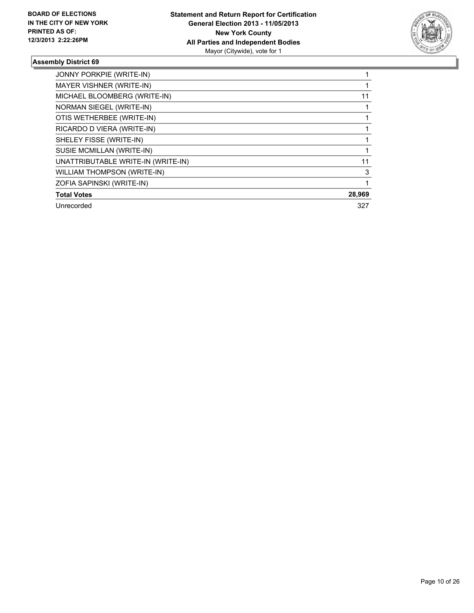

| <b>JONNY PORKPIE (WRITE-IN)</b>    |        |
|------------------------------------|--------|
| MAYER VISHNER (WRITE-IN)           |        |
| MICHAEL BLOOMBERG (WRITE-IN)       | 11     |
| NORMAN SIEGEL (WRITE-IN)           |        |
| OTIS WETHERBEE (WRITE-IN)          |        |
| RICARDO D VIERA (WRITE-IN)         |        |
| SHELEY FISSE (WRITE-IN)            |        |
| SUSIE MCMILLAN (WRITE-IN)          |        |
| UNATTRIBUTABLE WRITE-IN (WRITE-IN) | 11     |
| <b>WILLIAM THOMPSON (WRITE-IN)</b> | 3      |
| ZOFIA SAPINSKI (WRITE-IN)          |        |
| <b>Total Votes</b>                 | 28,969 |
| Unrecorded                         | 327    |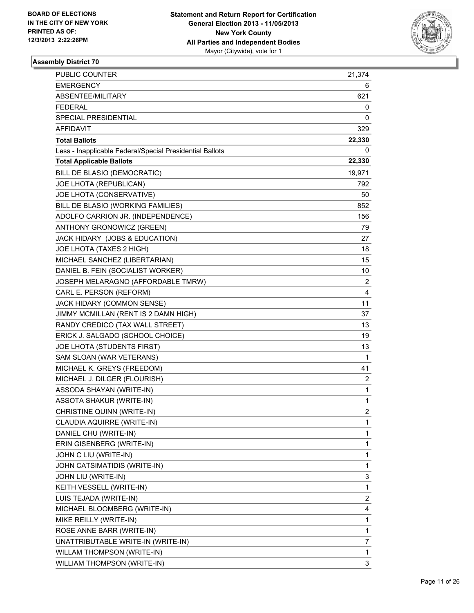

| PUBLIC COUNTER                                           | 21,374         |
|----------------------------------------------------------|----------------|
| <b>EMERGENCY</b>                                         | 6              |
| ABSENTEE/MILITARY                                        | 621            |
| <b>FEDERAL</b>                                           | 0              |
| SPECIAL PRESIDENTIAL                                     | 0              |
| <b>AFFIDAVIT</b>                                         | 329            |
| <b>Total Ballots</b>                                     | 22,330         |
| Less - Inapplicable Federal/Special Presidential Ballots | 0              |
| <b>Total Applicable Ballots</b>                          | 22,330         |
| BILL DE BLASIO (DEMOCRATIC)                              | 19,971         |
| JOE LHOTA (REPUBLICAN)                                   | 792            |
| JOE LHOTA (CONSERVATIVE)                                 | 50             |
| BILL DE BLASIO (WORKING FAMILIES)                        | 852            |
| ADOLFO CARRION JR. (INDEPENDENCE)                        | 156            |
| ANTHONY GRONOWICZ (GREEN)                                | 79             |
| JACK HIDARY (JOBS & EDUCATION)                           | 27             |
| JOE LHOTA (TAXES 2 HIGH)                                 | 18             |
| MICHAEL SANCHEZ (LIBERTARIAN)                            | 15             |
| DANIEL B. FEIN (SOCIALIST WORKER)                        | 10             |
| JOSEPH MELARAGNO (AFFORDABLE TMRW)                       | $\overline{2}$ |
| CARL E. PERSON (REFORM)                                  | 4              |
| JACK HIDARY (COMMON SENSE)                               | 11             |
| JIMMY MCMILLAN (RENT IS 2 DAMN HIGH)                     | 37             |
| RANDY CREDICO (TAX WALL STREET)                          | 13             |
| ERICK J. SALGADO (SCHOOL CHOICE)                         | 19             |
| JOE LHOTA (STUDENTS FIRST)                               | 13             |
| SAM SLOAN (WAR VETERANS)                                 | 1              |
| MICHAEL K. GREYS (FREEDOM)                               | 41             |
| MICHAEL J. DILGER (FLOURISH)                             | $\overline{2}$ |
| ASSODA SHAYAN (WRITE-IN)                                 | 1              |
| <b>ASSOTA SHAKUR (WRITE-IN)</b>                          | 1              |
| CHRISTINE QUINN (WRITE-IN)                               | $\overline{2}$ |
| CLAUDIA AQUIRRE (WRITE-IN)                               | 1              |
| DANIEL CHU (WRITE-IN)                                    | 1              |
| ERIN GISENBERG (WRITE-IN)                                | 1              |
| JOHN C LIU (WRITE-IN)                                    | 1              |
| JOHN CATSIMATIDIS (WRITE-IN)                             | 1              |
| JOHN LIU (WRITE-IN)                                      | 3              |
| KEITH VESSELL (WRITE-IN)                                 | 1              |
| LUIS TEJADA (WRITE-IN)                                   | $\overline{2}$ |
| MICHAEL BLOOMBERG (WRITE-IN)                             | 4              |
| MIKE REILLY (WRITE-IN)                                   | 1              |
| ROSE ANNE BARR (WRITE-IN)                                | 1              |
| UNATTRIBUTABLE WRITE-IN (WRITE-IN)                       | 7              |
| WILLAM THOMPSON (WRITE-IN)                               | 1              |
| WILLIAM THOMPSON (WRITE-IN)                              | 3              |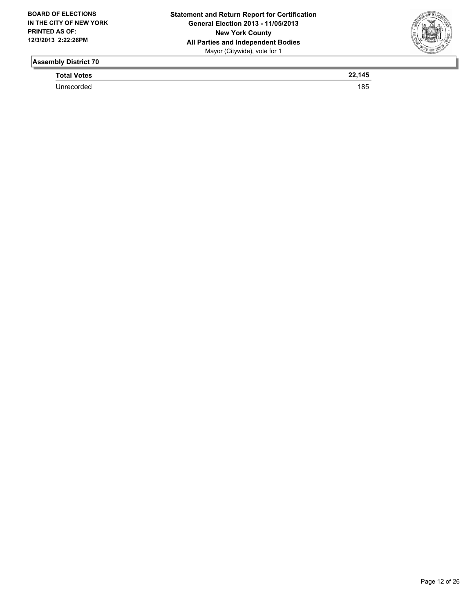

**Total Votes 22,145** 

Unrecorded 185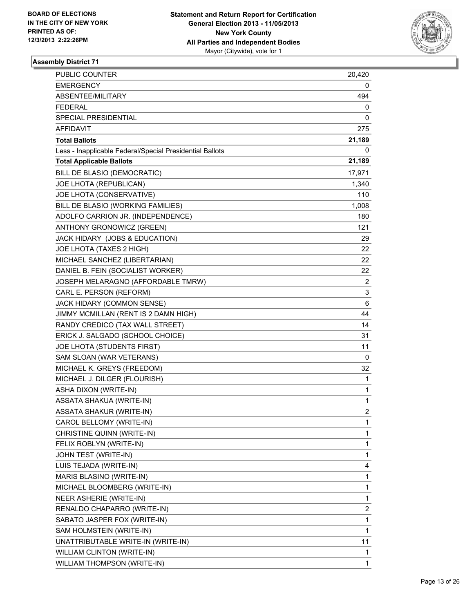

| PUBLIC COUNTER                                           | 20,420         |
|----------------------------------------------------------|----------------|
| <b>EMERGENCY</b>                                         | 0              |
| ABSENTEE/MILITARY                                        | 494            |
| <b>FEDERAL</b>                                           | 0              |
| <b>SPECIAL PRESIDENTIAL</b>                              | 0              |
| AFFIDAVIT                                                | 275            |
| <b>Total Ballots</b>                                     | 21,189         |
| Less - Inapplicable Federal/Special Presidential Ballots | 0              |
| <b>Total Applicable Ballots</b>                          | 21,189         |
| BILL DE BLASIO (DEMOCRATIC)                              | 17,971         |
| JOE LHOTA (REPUBLICAN)                                   | 1,340          |
| JOE LHOTA (CONSERVATIVE)                                 | 110            |
| BILL DE BLASIO (WORKING FAMILIES)                        | 1,008          |
| ADOLFO CARRION JR. (INDEPENDENCE)                        | 180            |
| ANTHONY GRONOWICZ (GREEN)                                | 121            |
| JACK HIDARY (JOBS & EDUCATION)                           | 29             |
| JOE LHOTA (TAXES 2 HIGH)                                 | 22.            |
| MICHAEL SANCHEZ (LIBERTARIAN)                            | 22             |
| DANIEL B. FEIN (SOCIALIST WORKER)                        | 22             |
| JOSEPH MELARAGNO (AFFORDABLE TMRW)                       | 2              |
| CARL E. PERSON (REFORM)                                  | 3              |
| JACK HIDARY (COMMON SENSE)                               | 6              |
| JIMMY MCMILLAN (RENT IS 2 DAMN HIGH)                     | 44             |
| RANDY CREDICO (TAX WALL STREET)                          | 14             |
| ERICK J. SALGADO (SCHOOL CHOICE)                         | 31             |
| JOE LHOTA (STUDENTS FIRST)                               | 11             |
| SAM SLOAN (WAR VETERANS)                                 | 0              |
| MICHAEL K. GREYS (FREEDOM)                               | 32             |
| MICHAEL J. DILGER (FLOURISH)                             | 1              |
| ASHA DIXON (WRITE-IN)                                    | 1              |
| ASSATA SHAKUA (WRITE-IN)                                 | 1              |
| <b>ASSATA SHAKUR (WRITE-IN)</b>                          | $\overline{2}$ |
| CAROL BELLOMY (WRITE-IN)                                 | 1              |
| CHRISTINE QUINN (WRITE-IN)                               | 1              |
| FELIX ROBLYN (WRITE-IN)                                  | 1              |
| JOHN TEST (WRITE-IN)                                     | 1              |
| LUIS TEJADA (WRITE-IN)                                   | 4              |
| MARIS BLASINO (WRITE-IN)                                 | 1              |
| MICHAEL BLOOMBERG (WRITE-IN)                             | 1              |
| NEER ASHERIE (WRITE-IN)                                  | 1              |
| RENALDO CHAPARRO (WRITE-IN)                              | 2              |
| SABATO JASPER FOX (WRITE-IN)                             | 1              |
| SAM HOLMSTEIN (WRITE-IN)                                 | 1              |
| UNATTRIBUTABLE WRITE-IN (WRITE-IN)                       | 11             |
| WILLIAM CLINTON (WRITE-IN)                               | 1              |
| WILLIAM THOMPSON (WRITE-IN)                              | 1              |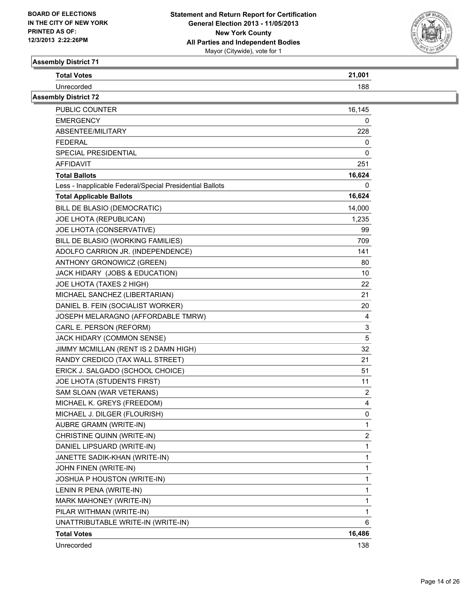

| <b>Total Votes</b> |    |
|--------------------|----|
| Jnrecc             | oo |
|                    |    |

| <b>Assembly District 72</b>                              |                |
|----------------------------------------------------------|----------------|
| PUBLIC COUNTER                                           | 16,145         |
| EMERGENCY                                                | 0              |
| ABSENTEE/MILITARY                                        | 228            |
| <b>FEDERAL</b>                                           | 0              |
| SPECIAL PRESIDENTIAL                                     | 0              |
| AFFIDAVIT                                                | 251            |
| <b>Total Ballots</b>                                     | 16,624         |
| Less - Inapplicable Federal/Special Presidential Ballots | 0              |
| <b>Total Applicable Ballots</b>                          | 16,624         |
| BILL DE BLASIO (DEMOCRATIC)                              | 14,000         |
| JOE LHOTA (REPUBLICAN)                                   | 1,235          |
| JOE LHOTA (CONSERVATIVE)                                 | 99             |
| BILL DE BLASIO (WORKING FAMILIES)                        | 709            |
| ADOLFO CARRION JR. (INDEPENDENCE)                        | 141            |
| ANTHONY GRONOWICZ (GREEN)                                | 80             |
| JACK HIDARY (JOBS & EDUCATION)                           | 10             |
| JOE LHOTA (TAXES 2 HIGH)                                 | 22             |
| MICHAEL SANCHEZ (LIBERTARIAN)                            | 21             |
| DANIEL B. FEIN (SOCIALIST WORKER)                        | 20             |
| JOSEPH MELARAGNO (AFFORDABLE TMRW)                       | 4              |
| CARL E. PERSON (REFORM)                                  | 3              |
| JACK HIDARY (COMMON SENSE)                               | 5              |
| JIMMY MCMILLAN (RENT IS 2 DAMN HIGH)                     | 32             |
| RANDY CREDICO (TAX WALL STREET)                          | 21             |
| ERICK J. SALGADO (SCHOOL CHOICE)                         | 51             |
| JOE LHOTA (STUDENTS FIRST)                               | 11             |
| SAM SLOAN (WAR VETERANS)                                 | $\overline{2}$ |
| MICHAEL K. GREYS (FREEDOM)                               | 4              |
| MICHAEL J. DILGER (FLOURISH)                             | 0              |
| AUBRE GRAMN (WRITE-IN)                                   | 1              |
| CHRISTINE QUINN (WRITE-IN)                               | $\overline{2}$ |
| DANIEL LIPSUARD (WRITE-IN)                               | 1              |
| JANETTE SADIK-KHAN (WRITE-IN)                            | 1              |
| JOHN FINEN (WRITE-IN)                                    | 1              |
| JOSHUA P HOUSTON (WRITE-IN)                              | 1              |
| LENIN R PENA (WRITE-IN)                                  | 1              |
| MARK MAHONEY (WRITE-IN)                                  | 1              |
| PILAR WITHMAN (WRITE-IN)                                 | 1              |
| UNATTRIBUTABLE WRITE-IN (WRITE-IN)                       | 6              |
| <b>Total Votes</b>                                       | 16,486         |
| Unrecorded                                               | 138            |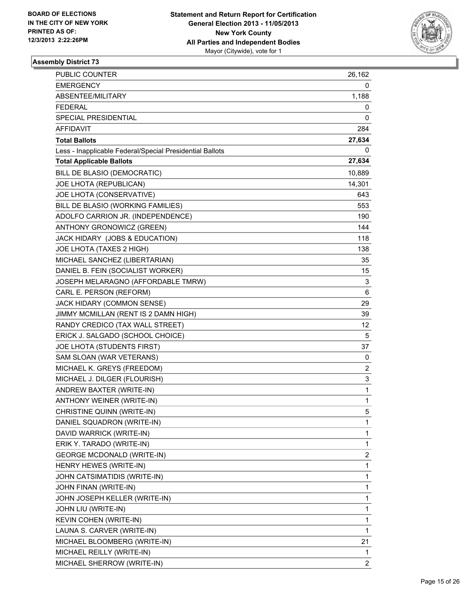

| PUBLIC COUNTER                                           | 26,162         |
|----------------------------------------------------------|----------------|
| <b>EMERGENCY</b>                                         | 0              |
| ABSENTEE/MILITARY                                        | 1,188          |
| FEDERAL                                                  | 0              |
| <b>SPECIAL PRESIDENTIAL</b>                              | 0              |
| AFFIDAVIT                                                | 284            |
| <b>Total Ballots</b>                                     | 27,634         |
| Less - Inapplicable Federal/Special Presidential Ballots | 0              |
| <b>Total Applicable Ballots</b>                          | 27,634         |
| BILL DE BLASIO (DEMOCRATIC)                              | 10,889         |
| JOE LHOTA (REPUBLICAN)                                   | 14,301         |
| JOE LHOTA (CONSERVATIVE)                                 | 643            |
| BILL DE BLASIO (WORKING FAMILIES)                        | 553            |
| ADOLFO CARRION JR. (INDEPENDENCE)                        | 190            |
| ANTHONY GRONOWICZ (GREEN)                                | 144            |
| JACK HIDARY (JOBS & EDUCATION)                           | 118            |
| JOE LHOTA (TAXES 2 HIGH)                                 | 138            |
| MICHAEL SANCHEZ (LIBERTARIAN)                            | 35             |
| DANIEL B. FEIN (SOCIALIST WORKER)                        | 15             |
| JOSEPH MELARAGNO (AFFORDABLE TMRW)                       | 3              |
| CARL E. PERSON (REFORM)                                  | 6              |
| JACK HIDARY (COMMON SENSE)                               | 29             |
| JIMMY MCMILLAN (RENT IS 2 DAMN HIGH)                     | 39             |
| RANDY CREDICO (TAX WALL STREET)                          | 12             |
| ERICK J. SALGADO (SCHOOL CHOICE)                         | 5              |
| JOE LHOTA (STUDENTS FIRST)                               | 37             |
| SAM SLOAN (WAR VETERANS)                                 | 0              |
| MICHAEL K. GREYS (FREEDOM)                               | 2              |
| MICHAEL J. DILGER (FLOURISH)                             | 3              |
| ANDREW BAXTER (WRITE-IN)                                 | 1              |
| ANTHONY WEINER (WRITE-IN)                                | 1              |
| CHRISTINE QUINN (WRITE-IN)                               | 5              |
| DANIEL SQUADRON (WRITE-IN)                               | 1              |
| DAVID WARRICK (WRITE-IN)                                 | 1              |
| ERIK Y. TARADO (WRITE-IN)                                | 1              |
| <b>GEORGE MCDONALD (WRITE-IN)</b>                        | 2              |
| HENRY HEWES (WRITE-IN)                                   | 1              |
| JOHN CATSIMATIDIS (WRITE-IN)                             | 1              |
| JOHN FINAN (WRITE-IN)                                    | 1              |
| JOHN JOSEPH KELLER (WRITE-IN)                            | 1              |
| JOHN LIU (WRITE-IN)                                      | 1              |
| KEVIN COHEN (WRITE-IN)                                   | 1              |
| LAUNA S. CARVER (WRITE-IN)                               | 1              |
| MICHAEL BLOOMBERG (WRITE-IN)                             | 21             |
| MICHAEL REILLY (WRITE-IN)                                | 1              |
| MICHAEL SHERROW (WRITE-IN)                               | $\overline{2}$ |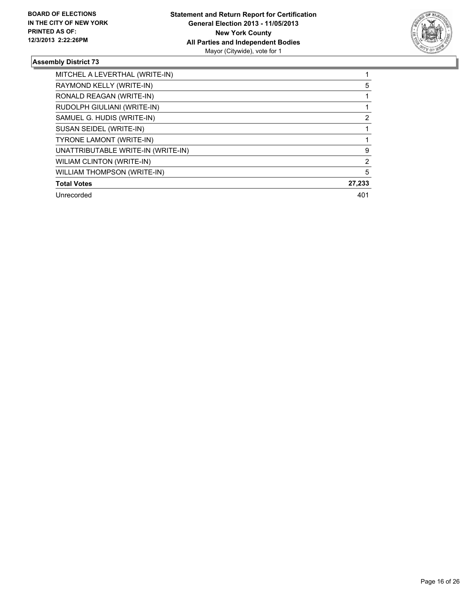

| MITCHEL A LEVERTHAL (WRITE-IN)     |                |
|------------------------------------|----------------|
| RAYMOND KELLY (WRITE-IN)           | 5              |
| RONALD REAGAN (WRITE-IN)           |                |
| RUDOLPH GIULIANI (WRITE-IN)        |                |
| SAMUEL G. HUDIS (WRITE-IN)         | 2              |
| SUSAN SEIDEL (WRITE-IN)            |                |
| <b>TYRONE LAMONT (WRITE-IN)</b>    |                |
| UNATTRIBUTABLE WRITE-IN (WRITE-IN) | 9              |
| WILIAM CLINTON (WRITE-IN)          | $\overline{2}$ |
| WILLIAM THOMPSON (WRITE-IN)        | 5              |
| <b>Total Votes</b>                 | 27,233         |
| Unrecorded                         | 401            |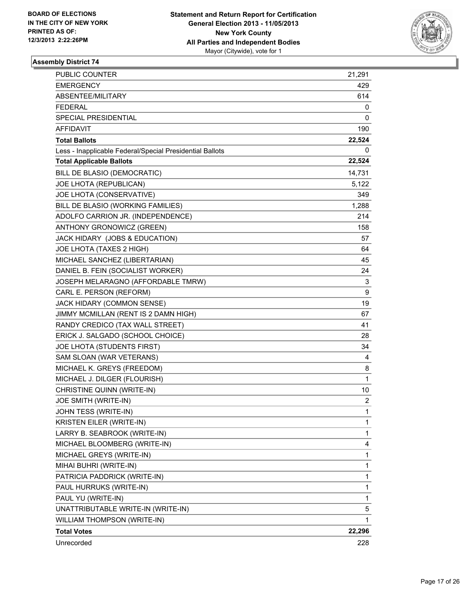

| <b>PUBLIC COUNTER</b>                                    | 21,291         |
|----------------------------------------------------------|----------------|
| <b>EMERGENCY</b>                                         | 429            |
| ABSENTEE/MILITARY                                        | 614            |
| <b>FEDERAL</b>                                           | 0              |
| SPECIAL PRESIDENTIAL                                     | 0              |
| <b>AFFIDAVIT</b>                                         | 190            |
| <b>Total Ballots</b>                                     | 22,524         |
| Less - Inapplicable Federal/Special Presidential Ballots | 0              |
| <b>Total Applicable Ballots</b>                          | 22,524         |
| BILL DE BLASIO (DEMOCRATIC)                              | 14,731         |
| JOE LHOTA (REPUBLICAN)                                   | 5,122          |
| JOE LHOTA (CONSERVATIVE)                                 | 349            |
| BILL DE BLASIO (WORKING FAMILIES)                        | 1,288          |
| ADOLFO CARRION JR. (INDEPENDENCE)                        | 214            |
| ANTHONY GRONOWICZ (GREEN)                                | 158            |
| JACK HIDARY (JOBS & EDUCATION)                           | 57             |
| JOE LHOTA (TAXES 2 HIGH)                                 | 64             |
| MICHAEL SANCHEZ (LIBERTARIAN)                            | 45             |
| DANIEL B. FEIN (SOCIALIST WORKER)                        | 24             |
| JOSEPH MELARAGNO (AFFORDABLE TMRW)                       | 3              |
| CARL E. PERSON (REFORM)                                  | 9              |
| JACK HIDARY (COMMON SENSE)                               | 19             |
| JIMMY MCMILLAN (RENT IS 2 DAMN HIGH)                     | 67             |
| RANDY CREDICO (TAX WALL STREET)                          | 41             |
| ERICK J. SALGADO (SCHOOL CHOICE)                         | 28             |
| JOE LHOTA (STUDENTS FIRST)                               | 34             |
| SAM SLOAN (WAR VETERANS)                                 | 4              |
| MICHAEL K. GREYS (FREEDOM)                               | 8              |
| MICHAEL J. DILGER (FLOURISH)                             | $\mathbf{1}$   |
| CHRISTINE QUINN (WRITE-IN)                               | 10             |
| JOE SMITH (WRITE-IN)                                     | $\overline{2}$ |
| JOHN TESS (WRITE-IN)                                     | $\mathbf{1}$   |
| KRISTEN EILER (WRITE-IN)                                 | 1              |
| LARRY B. SEABROOK (WRITE-IN)                             | 1              |
| MICHAEL BLOOMBERG (WRITE-IN)                             | 4              |
| MICHAEL GREYS (WRITE-IN)                                 | 1              |
| MIHAI BUHRI (WRITE-IN)                                   | 1              |
| PATRICIA PADDRICK (WRITE-IN)                             | 1              |
| PAUL HURRUKS (WRITE-IN)                                  | 1              |
| PAUL YU (WRITE-IN)                                       | 1              |
| UNATTRIBUTABLE WRITE-IN (WRITE-IN)                       | 5              |
| WILLIAM THOMPSON (WRITE-IN)                              | 1              |
| <b>Total Votes</b>                                       | 22,296         |
| Unrecorded                                               | 228            |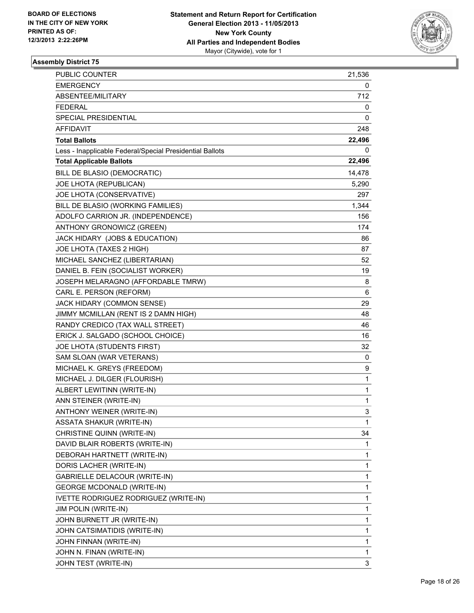

| PUBLIC COUNTER                                           | 21,536 |
|----------------------------------------------------------|--------|
| <b>EMERGENCY</b>                                         | 0      |
| ABSENTEE/MILITARY                                        | 712    |
| FEDERAL                                                  | 0      |
| SPECIAL PRESIDENTIAL                                     | 0      |
| AFFIDAVIT                                                | 248    |
| <b>Total Ballots</b>                                     | 22,496 |
| Less - Inapplicable Federal/Special Presidential Ballots | 0      |
| <b>Total Applicable Ballots</b>                          | 22,496 |
| BILL DE BLASIO (DEMOCRATIC)                              | 14,478 |
| JOE LHOTA (REPUBLICAN)                                   | 5,290  |
| JOE LHOTA (CONSERVATIVE)                                 | 297    |
| BILL DE BLASIO (WORKING FAMILIES)                        | 1,344  |
| ADOLFO CARRION JR. (INDEPENDENCE)                        | 156    |
| ANTHONY GRONOWICZ (GREEN)                                | 174    |
| JACK HIDARY (JOBS & EDUCATION)                           | 86     |
| JOE LHOTA (TAXES 2 HIGH)                                 | 87     |
| MICHAEL SANCHEZ (LIBERTARIAN)                            | 52     |
| DANIEL B. FEIN (SOCIALIST WORKER)                        | 19     |
| JOSEPH MELARAGNO (AFFORDABLE TMRW)                       | 8      |
| CARL E. PERSON (REFORM)                                  | 6      |
| JACK HIDARY (COMMON SENSE)                               | 29     |
| JIMMY MCMILLAN (RENT IS 2 DAMN HIGH)                     | 48     |
| RANDY CREDICO (TAX WALL STREET)                          | 46     |
| ERICK J. SALGADO (SCHOOL CHOICE)                         | 16     |
| JOE LHOTA (STUDENTS FIRST)                               | 32     |
| SAM SLOAN (WAR VETERANS)                                 | 0      |
| MICHAEL K. GREYS (FREEDOM)                               | 9      |
| MICHAEL J. DILGER (FLOURISH)                             | 1      |
| ALBERT LEWITINN (WRITE-IN)                               | 1      |
| ANN STEINER (WRITE-IN)                                   | 1      |
| <b>ANTHONY WEINER (WRITE-IN)</b>                         | 3      |
| ASSATA SHAKUR (WRITE-IN)                                 | 1      |
| CHRISTINE QUINN (WRITE-IN)                               | 34     |
| DAVID BLAIR ROBERTS (WRITE-IN)                           | 1      |
| DEBORAH HARTNETT (WRITE-IN)                              | 1      |
| DORIS LACHER (WRITE-IN)                                  | 1      |
| GABRIELLE DELACOUR (WRITE-IN)                            | 1      |
| <b>GEORGE MCDONALD (WRITE-IN)</b>                        | 1      |
| IVETTE RODRIGUEZ RODRIGUEZ (WRITE-IN)                    | 1      |
| JIM POLIN (WRITE-IN)                                     | 1      |
| JOHN BURNETT JR (WRITE-IN)                               | 1      |
| JOHN CATSIMATIDIS (WRITE-IN)                             | 1      |
| JOHN FINNAN (WRITE-IN)                                   | 1      |
| JOHN N. FINAN (WRITE-IN)                                 | 1      |
| JOHN TEST (WRITE-IN)                                     | 3      |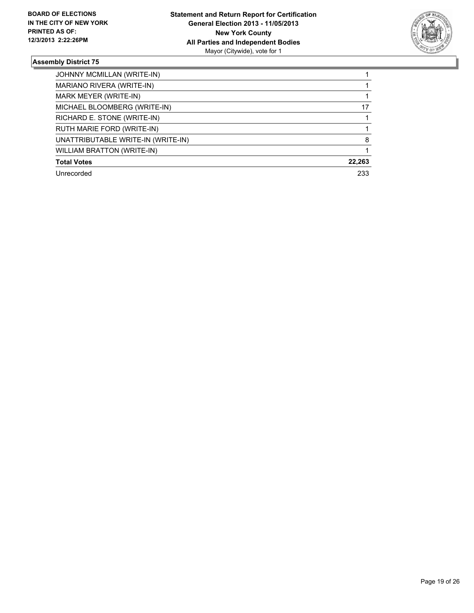

| JOHNNY MCMILLAN (WRITE-IN)         |        |
|------------------------------------|--------|
| MARIANO RIVERA (WRITE-IN)          |        |
| MARK MEYER (WRITE-IN)              |        |
| MICHAEL BLOOMBERG (WRITE-IN)       | 17     |
| RICHARD E. STONE (WRITE-IN)        |        |
| RUTH MARIE FORD (WRITE-IN)         |        |
| UNATTRIBUTABLE WRITE-IN (WRITE-IN) | 8      |
| <b>WILLIAM BRATTON (WRITE-IN)</b>  |        |
| <b>Total Votes</b>                 | 22,263 |
| Unrecorded                         | 233    |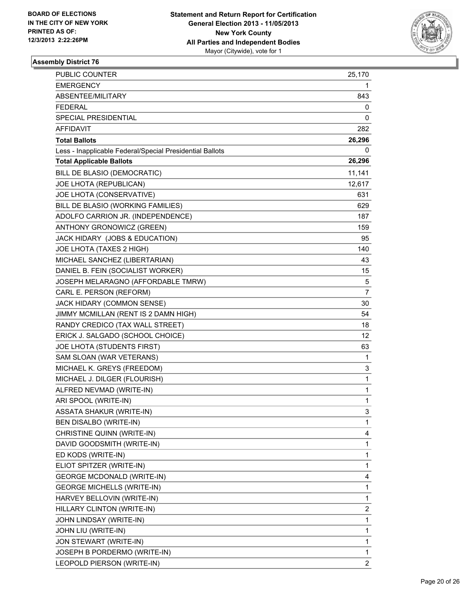

| PUBLIC COUNTER                                           | 25,170         |
|----------------------------------------------------------|----------------|
| <b>EMERGENCY</b>                                         | 1              |
| ABSENTEE/MILITARY                                        | 843            |
| FEDERAL                                                  | 0              |
| SPECIAL PRESIDENTIAL                                     | 0              |
| AFFIDAVIT                                                | 282            |
| <b>Total Ballots</b>                                     | 26,296         |
| Less - Inapplicable Federal/Special Presidential Ballots | 0              |
| <b>Total Applicable Ballots</b>                          | 26,296         |
| BILL DE BLASIO (DEMOCRATIC)                              | 11,141         |
| JOE LHOTA (REPUBLICAN)                                   | 12,617         |
| JOE LHOTA (CONSERVATIVE)                                 | 631            |
| BILL DE BLASIO (WORKING FAMILIES)                        | 629            |
| ADOLFO CARRION JR. (INDEPENDENCE)                        | 187            |
| ANTHONY GRONOWICZ (GREEN)                                | 159            |
| JACK HIDARY (JOBS & EDUCATION)                           | 95             |
| JOE LHOTA (TAXES 2 HIGH)                                 | 140            |
| MICHAEL SANCHEZ (LIBERTARIAN)                            | 43             |
| DANIEL B. FEIN (SOCIALIST WORKER)                        | 15             |
| JOSEPH MELARAGNO (AFFORDABLE TMRW)                       | 5              |
| CARL E. PERSON (REFORM)                                  | $\overline{7}$ |
| JACK HIDARY (COMMON SENSE)                               | 30             |
| JIMMY MCMILLAN (RENT IS 2 DAMN HIGH)                     | 54             |
| RANDY CREDICO (TAX WALL STREET)                          | 18             |
| ERICK J. SALGADO (SCHOOL CHOICE)                         | 12             |
| JOE LHOTA (STUDENTS FIRST)                               | 63             |
| SAM SLOAN (WAR VETERANS)                                 | 1              |
| MICHAEL K. GREYS (FREEDOM)                               | 3              |
| MICHAEL J. DILGER (FLOURISH)                             | 1              |
| ALFRED NEVMAD (WRITE-IN)                                 | 1              |
| ARI SPOOL (WRITE-IN)                                     | 1              |
| ASSATA SHAKUR (WRITE-IN)                                 | 3              |
| BEN DISALBO (WRITE-IN)                                   | 1              |
| CHRISTINE QUINN (WRITE-IN)                               | 4              |
| DAVID GOODSMITH (WRITE-IN)                               | 1              |
| ED KODS (WRITE-IN)                                       | 1              |
| ELIOT SPITZER (WRITE-IN)                                 | 1              |
| <b>GEORGE MCDONALD (WRITE-IN)</b>                        | 4              |
| <b>GEORGE MICHELLS (WRITE-IN)</b>                        | 1              |
| HARVEY BELLOVIN (WRITE-IN)                               | 1              |
| HILLARY CLINTON (WRITE-IN)                               | 2              |
| JOHN LINDSAY (WRITE-IN)                                  | 1              |
| JOHN LIU (WRITE-IN)                                      | 1              |
| JON STEWART (WRITE-IN)                                   | 1              |
| JOSEPH B PORDERMO (WRITE-IN)                             | 1              |
| LEOPOLD PIERSON (WRITE-IN)                               | $\overline{2}$ |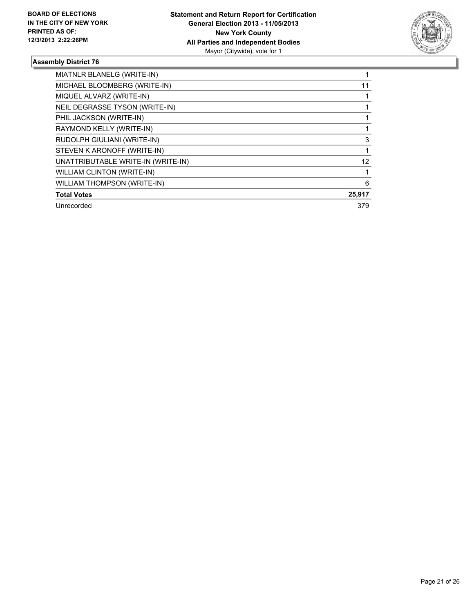

| MIATNLR BLANELG (WRITE-IN)         |        |
|------------------------------------|--------|
| MICHAEL BLOOMBERG (WRITE-IN)       | 11     |
| MIQUEL ALVARZ (WRITE-IN)           |        |
| NEIL DEGRASSE TYSON (WRITE-IN)     |        |
| PHIL JACKSON (WRITE-IN)            |        |
| RAYMOND KELLY (WRITE-IN)           |        |
| RUDOLPH GIULIANI (WRITE-IN)        | 3      |
| STEVEN K ARONOFF (WRITE-IN)        |        |
| UNATTRIBUTABLE WRITE-IN (WRITE-IN) | 12     |
| <b>WILLIAM CLINTON (WRITE-IN)</b>  |        |
| <b>WILLIAM THOMPSON (WRITE-IN)</b> | 6      |
| <b>Total Votes</b>                 | 25,917 |
| Unrecorded                         | 379    |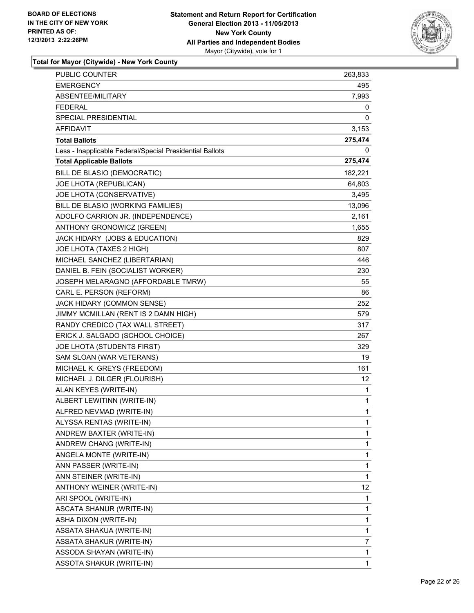

| PUBLIC COUNTER                                           | 263,833         |
|----------------------------------------------------------|-----------------|
| EMERGENCY                                                | 495             |
| ABSENTEE/MILITARY                                        | 7,993           |
| <b>FEDERAL</b>                                           | 0               |
| SPECIAL PRESIDENTIAL                                     | 0               |
| AFFIDAVIT                                                | 3,153           |
| <b>Total Ballots</b>                                     | 275,474         |
| Less - Inapplicable Federal/Special Presidential Ballots | 0               |
| <b>Total Applicable Ballots</b>                          | 275,474         |
| BILL DE BLASIO (DEMOCRATIC)                              | 182,221         |
| JOE LHOTA (REPUBLICAN)                                   | 64,803          |
| JOE LHOTA (CONSERVATIVE)                                 | 3,495           |
| BILL DE BLASIO (WORKING FAMILIES)                        | 13,096          |
| ADOLFO CARRION JR. (INDEPENDENCE)                        | 2,161           |
| ANTHONY GRONOWICZ (GREEN)                                | 1,655           |
| JACK HIDARY (JOBS & EDUCATION)                           | 829             |
| JOE LHOTA (TAXES 2 HIGH)                                 | 807             |
| MICHAEL SANCHEZ (LIBERTARIAN)                            | 446             |
| DANIEL B. FEIN (SOCIALIST WORKER)                        | 230             |
| JOSEPH MELARAGNO (AFFORDABLE TMRW)                       | 55              |
| CARL E. PERSON (REFORM)                                  | 86              |
| JACK HIDARY (COMMON SENSE)                               | 252             |
| JIMMY MCMILLAN (RENT IS 2 DAMN HIGH)                     | 579             |
| RANDY CREDICO (TAX WALL STREET)                          | 317             |
| ERICK J. SALGADO (SCHOOL CHOICE)                         | 267             |
| JOE LHOTA (STUDENTS FIRST)                               | 329             |
| SAM SLOAN (WAR VETERANS)                                 | 19              |
| MICHAEL K. GREYS (FREEDOM)                               | 161             |
| MICHAEL J. DILGER (FLOURISH)                             | 12 <sup>°</sup> |
| ALAN KEYES (WRITE-IN)                                    | 1               |
| ALBERT LEWITINN (WRITE-IN)                               | 1               |
| ALFRED NEVMAD (WRITE-IN)                                 | $\mathbf{1}$    |
| ALYSSA RENTAS (WRITE-IN)                                 | 1               |
| ANDREW BAXTER (WRITE-IN)                                 | 1               |
| ANDREW CHANG (WRITE-IN)                                  | 1               |
| ANGELA MONTE (WRITE-IN)                                  | 1               |
| ANN PASSER (WRITE-IN)                                    | 1               |
| ANN STEINER (WRITE-IN)                                   | 1               |
| ANTHONY WEINER (WRITE-IN)                                | 12              |
| ARI SPOOL (WRITE-IN)                                     | 1               |
| ASCATA SHANUR (WRITE-IN)                                 | 1               |
| ASHA DIXON (WRITE-IN)                                    | 1               |
| ASSATA SHAKUA (WRITE-IN)                                 | 1               |
| ASSATA SHAKUR (WRITE-IN)                                 | 7               |
| ASSODA SHAYAN (WRITE-IN)                                 | 1               |
| <b>ASSOTA SHAKUR (WRITE-IN)</b>                          | 1               |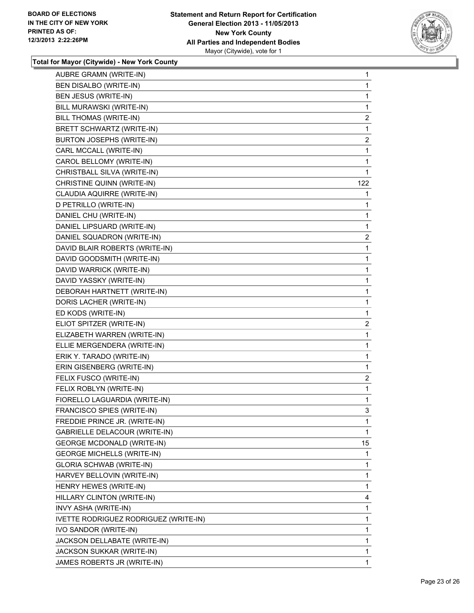

| AUBRE GRAMN (WRITE-IN)                | 1                       |
|---------------------------------------|-------------------------|
| BEN DISALBO (WRITE-IN)                | 1                       |
| BEN JESUS (WRITE-IN)                  | 1                       |
| BILL MURAWSKI (WRITE-IN)              | 1                       |
| BILL THOMAS (WRITE-IN)                | $\overline{\mathbf{c}}$ |
| BRETT SCHWARTZ (WRITE-IN)             | 1                       |
| BURTON JOSEPHS (WRITE-IN)             | 2                       |
| CARL MCCALL (WRITE-IN)                | 1                       |
| CAROL BELLOMY (WRITE-IN)              | 1                       |
| CHRISTBALL SILVA (WRITE-IN)           | 1                       |
| CHRISTINE QUINN (WRITE-IN)            | 122                     |
| CLAUDIA AQUIRRE (WRITE-IN)            | 1                       |
| D PETRILLO (WRITE-IN)                 | 1                       |
| DANIEL CHU (WRITE-IN)                 | 1                       |
| DANIEL LIPSUARD (WRITE-IN)            | 1                       |
| DANIEL SQUADRON (WRITE-IN)            | 2                       |
| DAVID BLAIR ROBERTS (WRITE-IN)        | 1                       |
| DAVID GOODSMITH (WRITE-IN)            | 1                       |
| DAVID WARRICK (WRITE-IN)              | 1                       |
| DAVID YASSKY (WRITE-IN)               | 1                       |
| DEBORAH HARTNETT (WRITE-IN)           | 1                       |
| DORIS LACHER (WRITE-IN)               | 1                       |
| ED KODS (WRITE-IN)                    | 1                       |
| ELIOT SPITZER (WRITE-IN)              | $\mathbf{2}$            |
| ELIZABETH WARREN (WRITE-IN)           | 1                       |
| ELLIE MERGENDERA (WRITE-IN)           | 1                       |
| ERIK Y. TARADO (WRITE-IN)             | 1                       |
| ERIN GISENBERG (WRITE-IN)             | 1                       |
| FELIX FUSCO (WRITE-IN)                | $\overline{\mathbf{c}}$ |
| FELIX ROBLYN (WRITE-IN)               | 1                       |
| FIORELLO LAGUARDIA (WRITE-IN)         | 1                       |
| FRANCISCO SPIES (WRITE-IN)            | 3                       |
| FREDDIE PRINCE JR. (WRITE-IN)         | 1                       |
| GABRIELLE DELACOUR (WRITE-IN)         | 1                       |
| <b>GEORGE MCDONALD (WRITE-IN)</b>     | 15                      |
| <b>GEORGE MICHELLS (WRITE-IN)</b>     | 1                       |
| <b>GLORIA SCHWAB (WRITE-IN)</b>       | 1                       |
| HARVEY BELLOVIN (WRITE-IN)            | 1                       |
| HENRY HEWES (WRITE-IN)                | 1                       |
| HILLARY CLINTON (WRITE-IN)            | 4                       |
| INVY ASHA (WRITE-IN)                  | 1                       |
| IVETTE RODRIGUEZ RODRIGUEZ (WRITE-IN) | 1                       |
| IVO SANDOR (WRITE-IN)                 | 1                       |
| JACKSON DELLABATE (WRITE-IN)          | 1                       |
| JACKSON SUKKAR (WRITE-IN)             | 1                       |
| JAMES ROBERTS JR (WRITE-IN)           | 1                       |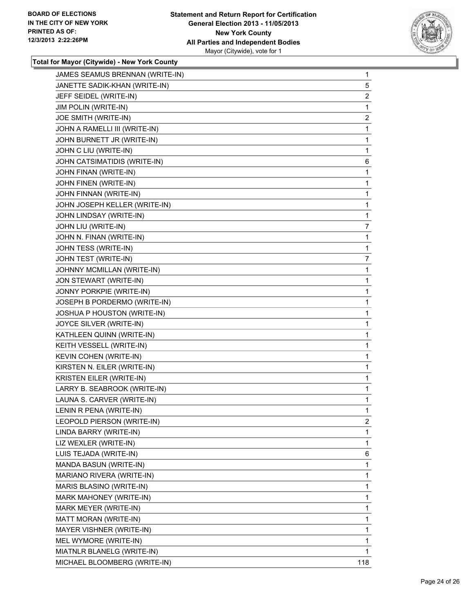

| JAMES SEAMUS BRENNAN (WRITE-IN) | 1              |
|---------------------------------|----------------|
| JANETTE SADIK-KHAN (WRITE-IN)   | 5              |
| JEFF SEIDEL (WRITE-IN)          | $\overline{2}$ |
| JIM POLIN (WRITE-IN)            | 1              |
| JOE SMITH (WRITE-IN)            | 2              |
| JOHN A RAMELLI III (WRITE-IN)   | 1              |
| JOHN BURNETT JR (WRITE-IN)      | 1              |
| JOHN C LIU (WRITE-IN)           | 1              |
| JOHN CATSIMATIDIS (WRITE-IN)    | 6              |
| JOHN FINAN (WRITE-IN)           | 1              |
| JOHN FINEN (WRITE-IN)           | 1              |
| JOHN FINNAN (WRITE-IN)          | 1              |
| JOHN JOSEPH KELLER (WRITE-IN)   | 1              |
| JOHN LINDSAY (WRITE-IN)         | 1              |
| JOHN LIU (WRITE-IN)             | 7              |
| JOHN N. FINAN (WRITE-IN)        | 1              |
| JOHN TESS (WRITE-IN)            | 1              |
| JOHN TEST (WRITE-IN)            | 7              |
| JOHNNY MCMILLAN (WRITE-IN)      | 1              |
| JON STEWART (WRITE-IN)          | 1              |
| JONNY PORKPIE (WRITE-IN)        | 1              |
| JOSEPH B PORDERMO (WRITE-IN)    | 1              |
| JOSHUA P HOUSTON (WRITE-IN)     | 1              |
| JOYCE SILVER (WRITE-IN)         | 1              |
| KATHLEEN QUINN (WRITE-IN)       | 1              |
| KEITH VESSELL (WRITE-IN)        | 1              |
| KEVIN COHEN (WRITE-IN)          | 1              |
| KIRSTEN N. EILER (WRITE-IN)     | 1              |
| KRISTEN EILER (WRITE-IN)        | 1              |
| LARRY B. SEABROOK (WRITE-IN)    | 1              |
| LAUNA S. CARVER (WRITE-IN)      | 1              |
| LENIN R PENA (WRITE-IN)         | 1              |
| LEOPOLD PIERSON (WRITE-IN)      | 2              |
| LINDA BARRY (WRITE-IN)          | 1              |
| LIZ WEXLER (WRITE-IN)           | 1              |
| LUIS TEJADA (WRITE-IN)          | 6              |
| MANDA BASUN (WRITE-IN)          | 1              |
| MARIANO RIVERA (WRITE-IN)       | 1              |
| MARIS BLASINO (WRITE-IN)        | 1              |
| MARK MAHONEY (WRITE-IN)         | 1              |
| MARK MEYER (WRITE-IN)           | 1              |
| MATT MORAN (WRITE-IN)           | 1              |
| MAYER VISHNER (WRITE-IN)        | 1              |
| MEL WYMORE (WRITE-IN)           | 1              |
| MIATNLR BLANELG (WRITE-IN)      | 1              |
| MICHAEL BLOOMBERG (WRITE-IN)    | 118            |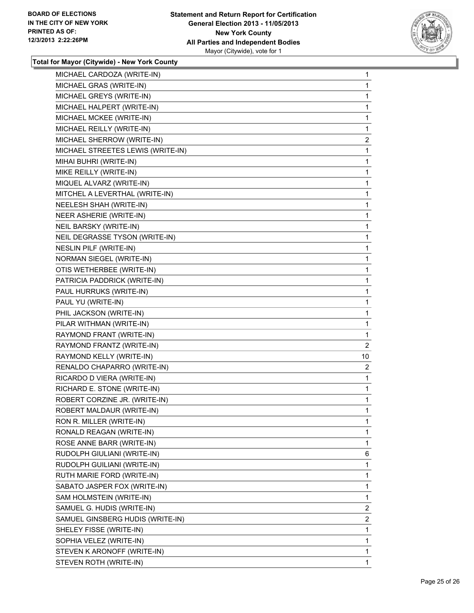

| MICHAEL CARDOZA (WRITE-IN)        | 1              |
|-----------------------------------|----------------|
| MICHAEL GRAS (WRITE-IN)           | 1              |
| MICHAEL GREYS (WRITE-IN)          | 1              |
| MICHAEL HALPERT (WRITE-IN)        | 1              |
| MICHAEL MCKEE (WRITE-IN)          | 1              |
| MICHAEL REILLY (WRITE-IN)         | 1              |
| MICHAEL SHERROW (WRITE-IN)        | 2              |
| MICHAEL STREETES LEWIS (WRITE-IN) | 1              |
| MIHAI BUHRI (WRITE-IN)            | 1              |
| MIKE REILLY (WRITE-IN)            | 1              |
| MIQUEL ALVARZ (WRITE-IN)          | 1              |
| MITCHEL A LEVERTHAL (WRITE-IN)    | 1              |
| NEELESH SHAH (WRITE-IN)           | 1              |
| NEER ASHERIE (WRITE-IN)           | 1              |
| NEIL BARSKY (WRITE-IN)            | 1              |
| NEIL DEGRASSE TYSON (WRITE-IN)    | 1              |
| NESLIN PILF (WRITE-IN)            | 1              |
| NORMAN SIEGEL (WRITE-IN)          | 1              |
| OTIS WETHERBEE (WRITE-IN)         | 1              |
| PATRICIA PADDRICK (WRITE-IN)      | 1              |
| PAUL HURRUKS (WRITE-IN)           | 1              |
| PAUL YU (WRITE-IN)                | 1              |
| PHIL JACKSON (WRITE-IN)           | 1              |
| PILAR WITHMAN (WRITE-IN)          | 1              |
| RAYMOND FRANT (WRITE-IN)          | 1              |
| RAYMOND FRANTZ (WRITE-IN)         | 2              |
| RAYMOND KELLY (WRITE-IN)          | 10             |
| RENALDO CHAPARRO (WRITE-IN)       | 2              |
| RICARDO D VIERA (WRITE-IN)        | 1              |
| RICHARD E. STONE (WRITE-IN)       | 1              |
| ROBERT CORZINE JR. (WRITE-IN)     | 1              |
| ROBERT MALDAUR (WRITE-IN)         | 1              |
| RON R. MILLER (WRITE-IN)          | 1              |
| RONALD REAGAN (WRITE-IN)          | 1              |
| ROSE ANNE BARR (WRITE-IN)         | 1              |
| RUDOLPH GIULIANI (WRITE-IN)       | 6              |
| RUDOLPH GUILIANI (WRITE-IN)       | 1              |
| RUTH MARIE FORD (WRITE-IN)        | 1              |
| SABATO JASPER FOX (WRITE-IN)      | 1              |
| SAM HOLMSTEIN (WRITE-IN)          | 1              |
| SAMUEL G. HUDIS (WRITE-IN)        | $\overline{2}$ |
| SAMUEL GINSBERG HUDIS (WRITE-IN)  | 2              |
| SHELEY FISSE (WRITE-IN)           | 1              |
| SOPHIA VELEZ (WRITE-IN)           | 1              |
| STEVEN K ARONOFF (WRITE-IN)       | 1              |
| STEVEN ROTH (WRITE-IN)            | 1              |